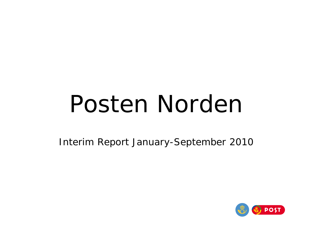# Posten Norden

Interim Report January-September 2010

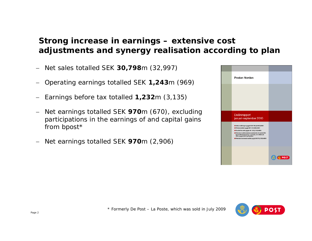#### **Strong g increase in earnings – extensive cost adjustments and synergy realisation according to plan**

- − Net sales totalled SEK **30,798**m (32,997)
- −Operating earnings totalled SEK **1,243**<sup>m</sup> (969)
- −Earnings before tax totalled **1,232**<sup>m</sup> (3,135)
- − Net earnings totalled SEK **970**m (670), excluding participations in the earnings of and capital gains from bpost\*
- −Net earnings totalled SEK **970**m (2,906)



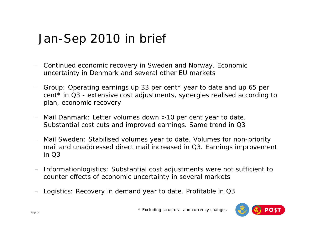#### Jan-Sep 2010 in brief

- − Continued economic recovery in Sweden and Norway. Economic uncertainty in Denmark and several other EU markets
- − Group: Operating earnings up 33 per cent\* year to date and up 65 per cent\* in Q3 - extensive cost adjustments, synergies realised according to plan, economic recovery
- − Mail Danmark: Letter volumes down >10 per cent year to date. Substantial cost cuts and improved earnings. Same trend in Q3
- − Mail Sweden: Stabilised volumes year to date. Volumes for non-priority mail and unaddressed direct mail increased in Q3. Earnings improvement in Q3
- − Informationlogistics: Substantial cost adjustments were not sufficient to counter effects of economic uncertainty in several markets
- − Logistics: Recovery in demand year to date. Profitable in Q3

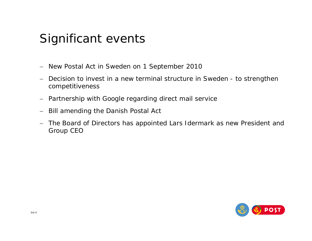#### Significant events

- − New Postal Act in Sweden on 1 September 2010
- − Decision to invest in a new terminal structure in Sweden to strengthen competitiveness
- − Partnership with Google regarding direct mail service
- − Bill amending the Danish Postal Act
- − The Board of Directors has appointed Lars Idermark as new President and Group CEO

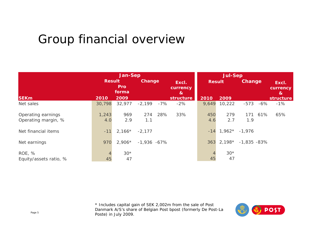#### Group financial overview

|                                           | <b>Jan-Sep</b> |                     |               |        |                                            |               | Jul-Sep     |                |        |                        |
|-------------------------------------------|----------------|---------------------|---------------|--------|--------------------------------------------|---------------|-------------|----------------|--------|------------------------|
|                                           | <b>Result</b>  | <b>Pro</b><br>forma | Change        |        | Excl.<br>currency<br>$\boldsymbol{\alpha}$ | <b>Result</b> |             | Change         |        | Excl.<br>currency<br>& |
| <b>SEKm</b>                               | 2010           | 2009                |               |        | structure                                  | 2010          | 2009        |                |        | structure              |
| Net sales                                 | 30,798         | 32,977              | $-2,199$      | $-7\%$ | $-2%$                                      | 9,649         | 10,222      | $-573$         | $-6\%$ | $-1%$                  |
| Operating earnings<br>Operating margin, % | 1,243<br>4.0   | 969<br>2.9          | 274<br>1.1    | 28%    | 33%                                        | 450<br>4.6    | 279<br>2.7  | 171<br>1.9     | 61%    | 65%                    |
| Net financial items                       | $-11$          | $2,166*$            | $-2,177$      |        |                                            | $-14$         | $1,962*$    | $-1,976$       |        |                        |
| Net earnings                              | 970            | $2,906*$            | $-1,936 -67%$ |        |                                            | 363           | $2,198*$    | $-1,835 - 83%$ |        |                        |
| ROE, %<br>Equity/assets ratio, %          | 4<br>45        | $30*$<br>47         |               |        |                                            | 45            | $30*$<br>47 |                |        |                        |

\* Includes capital gain of SEK 2,002m from the sale of Post Danmark A/S's share of Belgian Post bpost (formerly De Post-La Poste) in July 2009.

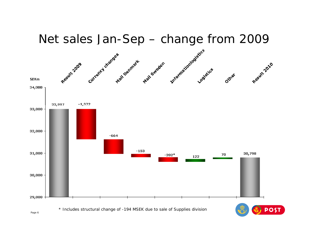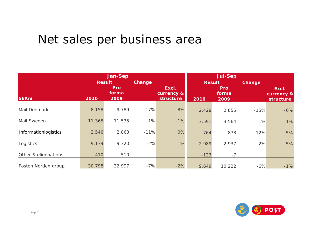### Net sales per business area

|                      |               | <b>Jan-Sep</b> |        |                     |               |              |        |                     |
|----------------------|---------------|----------------|--------|---------------------|---------------|--------------|--------|---------------------|
|                      | <b>Result</b> |                | Change |                     | <b>Result</b> |              | Change |                     |
|                      |               | Pro<br>forma   |        | Excl.<br>currency & |               | Pro<br>forma |        | Excl.<br>currency & |
| <b>SEKm</b>          | 2010          | 2009           |        | structure           | 2010          | 2009         |        | <b>structure</b>    |
| Mail Denmark         | 8,158         | 9,789          | $-17%$ | $-8%$               | 2,428         | 2,855        | $-15%$ | $-6%$               |
| Mail Sweden          | 11,365        | 11,535         | $-1%$  | $-1%$               | 3,591         | 3,564        | 1%     | 1%                  |
| Informationlogistics | 2,546         | 2,863          | $-11%$ | 0%                  | 764           | 873          | $-12%$ | $-5%$               |
| Logistics            | 9,139         | 9,320          | $-2%$  | 1%                  | 2,989         | 2,937        | 2%     | 5%                  |
| Other & eliminations | $-410$        | $-510$         |        |                     | $-123$        | $-7$         |        |                     |
| Posten Norden group  | 30,798        | 32,997         | $-7%$  | $-2%$               | 9,649         | 10,222       | $-6%$  | $-1%$               |

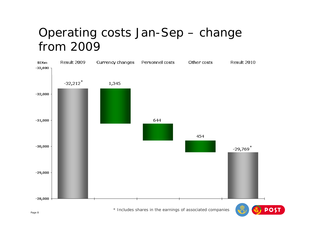#### Operating costs Jan-Sep – change from 2009



Page 8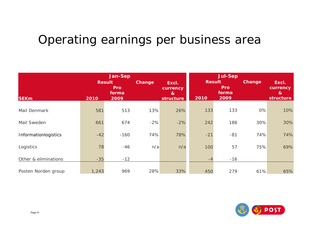#### Operating earnings per business area

|                      | <b>Jan-Sep</b><br><b>Result</b><br>Pro |               | Change | Excl.<br>currency         | <b>Jul-Sep</b><br><b>Result</b><br><b>Pro</b><br>forma |       | Change | Excl.<br>currency |
|----------------------|----------------------------------------|---------------|--------|---------------------------|--------------------------------------------------------|-------|--------|-------------------|
| <b>SEKm</b>          | 2010                                   | forma<br>2009 |        | $\mathbf{g}$<br>structure | 2010                                                   | 2009  |        | &<br>structure    |
| Mail Denmark         | 581                                    | 513           | 13%    | 26%                       | 133                                                    | 133   | 0%     | 10%               |
| Mail Sweden          | 661                                    | 674           | $-2%$  | $-2%$                     | 242                                                    | 186   | 30%    | 30%               |
| Informationlogistics | $-42$                                  | $-160$        | 74%    | 78%                       | $-21$                                                  | $-81$ | 74%    | 74%               |
| Logistics            | 78                                     | $-46$         | n/a    | n/a                       | 100                                                    | 57    | 75%    | 69%               |
| Other & eliminations | $-35$                                  | $-12$         |        |                           | $-4$                                                   | $-16$ |        |                   |
| Posten Norden group  | 1,243                                  | 969           | 28%    | 33%                       | 450                                                    | 279   | 61%    | 65%               |

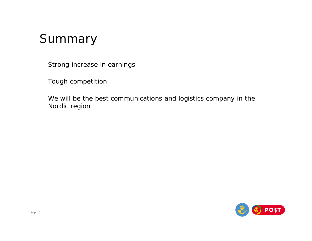#### Summary

- − Strong increase in earnings
- −Tough competition
- − We will be the best communications and logistics company in the Nordic region